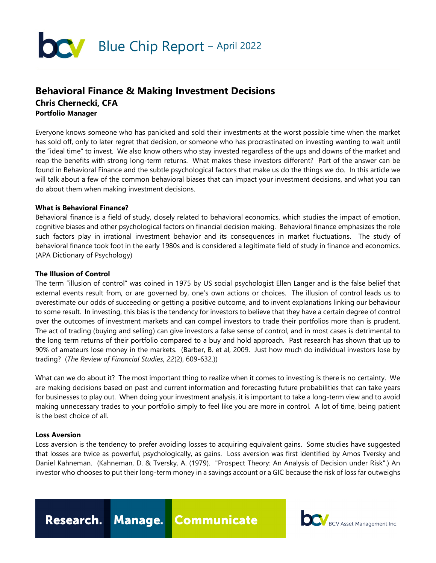

# **Behavioral Finance & Making Investment Decisions Chris Chernecki, CFA Portfolio Manager**

Everyone knows someone who has panicked and sold their investments at the worst possible time when the market has sold off, only to later regret that decision, or someone who has procrastinated on investing wanting to wait until the "ideal time" to invest. We also know others who stay invested regardless of the ups and downs of the market and reap the benefits with strong long-term returns. What makes these investors different? Part of the answer can be found in Behavioral Finance and the subtle psychological factors that make us do the things we do. In this article we will talk about a few of the common behavioral biases that can impact your investment decisions, and what you can do about them when making investment decisions.

#### **What is Behavioral Finance?**

Behavioral finance is a field of study, closely related to behavioral economics, which studies the impact of emotion, cognitive biases and other psychological factors on financial decision making. Behavioral finance emphasizes the role such factors play in irrational investment behavior and its consequences in market fluctuations. The study of behavioral finance took foot in the early 1980s and is considered a legitimate field of study in finance and economics. (APA Dictionary of Psychology)

#### **The Illusion of Control**

The term "illusion of control" was coined in 1975 by US social psychologist Ellen Langer and is the false belief that external events result from, or are governed by, one's own actions or choices. The illusion of control leads us to overestimate our odds of succeeding or getting a positive outcome, and to invent explanations linking our behaviour to some result. In investing, this bias is the tendency for investors to believe that they have a certain degree of control over the outcomes of investment markets and can compel investors to trade their portfolios more than is prudent. The act of trading (buying and selling) can give investors a false sense of control, and in most cases is detrimental to the long term returns of their portfolio compared to a buy and hold approach. Past research has shown that up to 90% of amateurs lose money in the markets. (Barber, B. et al, 2009. Just how much do individual investors lose by trading? (*The Review of Financial Studies*, *22*(2), 609-632.))

What can we do about it? The most important thing to realize when it comes to investing is there is no certainty. We are making decisions based on past and current information and forecasting future probabilities that can take years for businesses to play out. When doing your investment analysis, it is important to take a long-term view and to avoid making unnecessary trades to your portfolio simply to feel like you are more in control. A lot of time, being patient is the best choice of all.

#### **Loss Aversion**

Loss aversion is the tendency to prefer avoiding losses to acquiring equivalent gains. Some studies have suggested that losses are twice as powerful, psychologically, as gains. Loss aversion was first identified by Amos Tversky and Daniel Kahneman. (Kahneman, D. & Tversky, A. (1979). "Prospect Theory: An Analysis of Decision under Risk".) An investor who chooses to put their long-term money in a savings account or a GIC because the risk of loss far outweighs

Research. Manage. Communicate

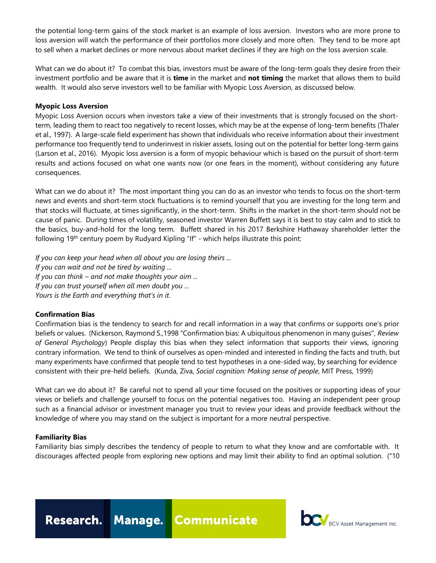the potential long-term gains of the stock market is an example of loss aversion. Investors who are more prone to loss aversion will watch the performance of their portfolios more closely and more often. They tend to be more apt to sell when a market declines or more nervous about market declines if they are high on the loss aversion scale.

What can we do about it? To combat this bias, investors must be aware of the long-term goals they desire from their investment portfolio and be aware that it is **time** in the market and **not timing** the market that allows them to build wealth. It would also serve investors well to be familiar with Myopic Loss Aversion, as discussed below.

#### **Myopic Loss Aversion**

Myopic Loss Aversion occurs when investors take a view of their investments that is strongly focused on the shortterm, leading them to react too negatively to recent losses, which may be at the expense of long-term benefits (Thaler et al., 1997). A large-scale field experiment has shown that individuals who receive information about their investment performance too frequently tend to underinvest in riskier assets, losing out on the potential for better long-term gains (Larson et al., 2016). Myopic loss aversion is a form of myopic behaviour which is based on the pursuit of short-term results and actions focused on what one wants now (or one fears in the moment), without considering any future consequences.

What can we do about it?The most important thing you can do as an investor who tends to focus on the short-term news and events and short-term stock fluctuations is to remind yourself that you are investing for the long term and that stocks will fluctuate, at times significantly, in the short-term. Shifts in the market in the short-term should not be cause of panic. During times of volatility, seasoned investor Warren Buffett says it is best to stay calm and to stick to the basics, buy-and-hold for the long term. Buffett shared in his 2017 Berkshire Hathaway shareholder letter the following 19<sup>th</sup> century poem by Rudyard Kipling "If" - which helps illustrate this point:

*If you can keep your head when all about you are losing theirs ... If you can wait and not be tired by waiting ... If you can think – and not make thoughts your aim ... If you can trust yourself when all men doubt you ... Yours is the Earth and everything that's in it.*

## **Confirmation Bias**

Confirmation bias is the tendency to search for and recall information in a way that confirms or supports one's prior beliefs or values. (Nickerson, Raymond S.,1998 "Confirmation bias: A ubiquitous phenomenon in many guises", *Review of General Psychology*) People display this bias when they select information that supports their views, ignoring contrary information. We tend to think of ourselves as open-minded and interested in finding the facts and truth, but many experiments have confirmed that people tend to test hypotheses in a one-sided way, by searching for evidence consistent with their pre-held beliefs. (Kunda, Ziva, *Social cognition: Making sense of people*, MIT Press, 1999)

What can we do about it?Be careful not to spend all your time focused on the positives or supporting ideas of your views or beliefs and challenge yourself to focus on the potential negatives too. Having an independent peer group such as a financial advisor or investment manager you trust to review your ideas and provide feedback without the knowledge of where you may stand on the subject is important for a more neutral perspective.

## **Familiarity Bias**

Familiarity bias simply describes the tendency of people to return to what they know and are comfortable with. It discourages affected people from exploring new options and may limit their ability to find an optimal solution. ("10



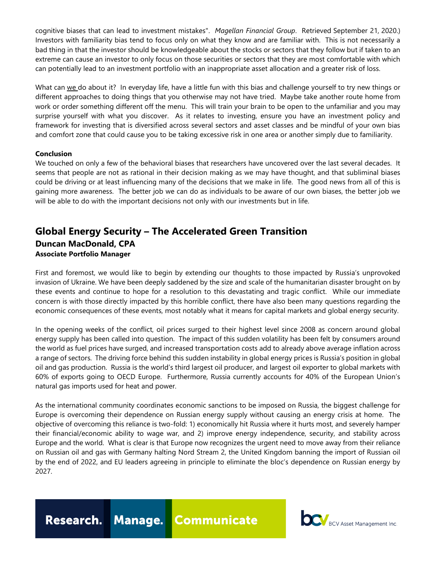cognitive biases that can lead to investment mistakes". *Magellan Financial Group*. Retrieved September 21, 2020.) Investors with familiarity bias tend to focus only on what they know and are familiar with. This is not necessarily a bad thing in that the investor should be knowledgeable about the stocks or sectors that they follow but if taken to an extreme can cause an investor to only focus on those securities or sectors that they are most comfortable with which can potentially lead to an investment portfolio with an inappropriate asset allocation and a greater risk of loss.

What can we do about it?In everyday life, have a little fun with this bias and challenge yourself to try new things or different approaches to doing things that you otherwise may not have tried. Maybe take another route home from work or order something different off the menu. This will train your brain to be open to the unfamiliar and you may surprise yourself with what you discover. As it relates to investing, ensure you have an investment policy and framework for investing that is diversified across several sectors and asset classes and be mindful of your own bias and comfort zone that could cause you to be taking excessive risk in one area or another simply due to familiarity.

# **Conclusion**

We touched on only a few of the behavioral biases that researchers have uncovered over the last several decades. It seems that people are not as rational in their decision making as we may have thought, and that subliminal biases could be driving or at least influencing many of the decisions that we make in life. The good news from all of this is gaining more awareness. The better job we can do as individuals to be aware of our own biases, the better job we will be able to do with the important decisions not only with our investments but in life.

# **Global Energy Security – The Accelerated Green Transition Duncan MacDonald, CPA Associate Portfolio Manager**

First and foremost, we would like to begin by extending our thoughts to those impacted by Russia's unprovoked invasion of Ukraine. We have been deeply saddened by the size and scale of the humanitarian disaster brought on by these events and continue to hope for a resolution to this devastating and tragic conflict. While our immediate concern is with those directly impacted by this horrible conflict, there have also been many questions regarding the economic consequences of these events, most notably what it means for capital markets and global energy security.

In the opening weeks of the conflict, oil prices surged to their highest level since 2008 as concern around global energy supply has been called into question. The impact of this sudden volatility has been felt by consumers around the world as fuel prices have surged, and increased transportation costs add to already above average inflation across a range of sectors. The driving force behind this sudden instability in global energy prices is Russia's position in global oil and gas production. Russia is the world's third largest oil producer, and largest oil exporter to global markets with 60% of exports going to OECD Europe. Furthermore, Russia currently accounts for 40% of the European Union's natural gas imports used for heat and power.

As the international community coordinates economic sanctions to be imposed on Russia, the biggest challenge for Europe is overcoming their dependence on Russian energy supply without causing an energy crisis at home. The objective of overcoming this reliance is two-fold: 1) economically hit Russia where it hurts most, and severely hamper their financial/economic ability to wage war, and 2) improve energy independence, security, and stability across Europe and the world. What is clear is that Europe now recognizes the urgent need to move away from their reliance on Russian oil and gas with Germany halting Nord Stream 2, the United Kingdom banning the import of Russian oil by the end of 2022, and EU leaders agreeing in principle to eliminate the bloc's dependence on Russian energy by 2027.